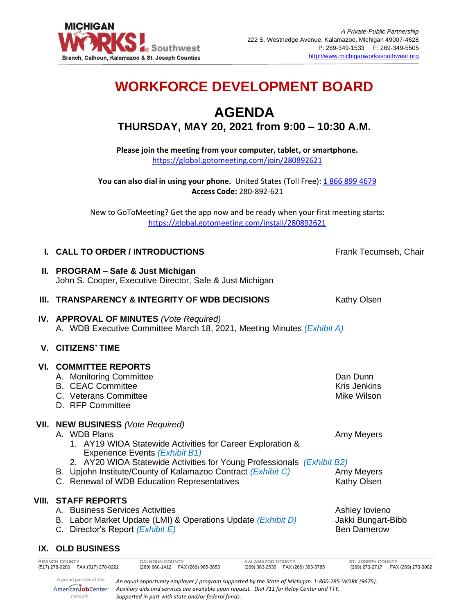

# **WORKFORCE DEVELOPMENT BOARD**

# **AGENDA THURSDAY, MAY 20, 2021 from 9:00 – 10:30 A.M.**

**Please join the meeting from your computer, tablet, or smartphone.**  <https://global.gotomeeting.com/join/280892621>

**You can also dial in using your phone.** United States (Toll Free)[: 1 866 899 4679](tel:+18668994679,,280892621) **Access Code:** 280-892-621

New to GoToMeeting? Get the app now and be ready when your first meeting starts: <https://global.gotomeeting.com/install/280892621>

# **I. CALL TO ORDER / INTRODUCTIONS** Frank Tecumseh, Chair

### **II. PROGRAM – Safe & Just Michigan** John S. Cooper, Executive Director, Safe & Just Michigan

#### **III. TRANSPARENCY & INTEGRITY OF WDB DECISIONS** Kathy Olsen

**IV. APPROVAL OF MINUTES** *(Vote Required)* A. WDB Executive Committee March 18, 2021, Meeting Minutes *(Exhibit A)*

# **V. CITIZENS' TIME**

| <b>VI. COMMITTEE REPORTS</b><br>A. Monitoring Committee<br><b>B. CEAC Committee</b><br>C. Veterans Committee<br>D. RFP Committee                                                                                                                                                                                                           | Dan Dunn<br>Kris Jenkins<br>Mike Wilson                    |
|--------------------------------------------------------------------------------------------------------------------------------------------------------------------------------------------------------------------------------------------------------------------------------------------------------------------------------------------|------------------------------------------------------------|
| VII. NEW BUSINESS (Vote Required)<br>A. WDB Plans<br>1. AY19 WIOA Statewide Activities for Career Exploration &<br>Experience Events (Exhibit B1)<br>2. AY20 WIOA Statewide Activities for Young Professionals (Exhibit B2)<br>B. Upjohn Institute/County of Kalamazoo Contract (Exhibit C)<br>C. Renewal of WDB Education Representatives | Amy Meyers<br>Amy Meyers<br><b>Kathy Olsen</b>             |
| VIII. STAFF REPORTS<br><b>Business Services Activities</b><br>А.<br>Labor Market Update (LMI) & Operations Update (Exhibit D)<br>В.<br>Director's Report (Exhibit E)                                                                                                                                                                       | Ashley lovieno<br>Jakki Bungart-Bibb<br><b>Ben Damerow</b> |

#### **IX. OLD BUSINESS**

| <b>BRANCH COUNTY</b>                 | <b>CALHOUN COUNTY</b>                                                                              | KALAMAZOO COUNTY                   | <b>ST. JOSEPH COUNTY</b>          |  |
|--------------------------------------|----------------------------------------------------------------------------------------------------|------------------------------------|-----------------------------------|--|
| (517) 278-0200    FAX (517) 278-0221 | (269) 660-1412  FAX (269) 965-3653                                                                 | (269) 383-2536  FAX (269) 383-3785 | (269) 273-2717 FAX (269) 273-3002 |  |
|                                      |                                                                                                    |                                    |                                   |  |
| A proud partner of the               | An equal opportunity employer / program supported by the State of Michigan. 1-800-285-WORK (9675). |                                    |                                   |  |
| AmericanJobCenter*                   | Auxiliary aids and services are available upon request. Dial 711 for Relay Center and TTY.         |                                    |                                   |  |
|                                      |                                                                                                    |                                    |                                   |  |
| network                              | Supported in part with state and/or federal funds.                                                 |                                    |                                   |  |